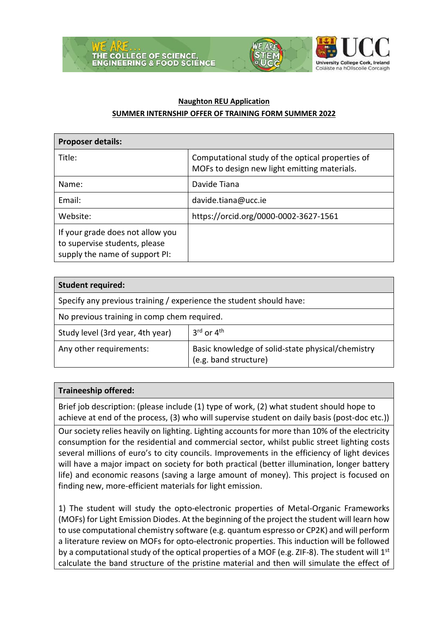





## **Naughton REU Application SUMMER INTERNSHIP OFFER OF TRAINING FORM SUMMER 2022**

| <b>Proposer details:</b>                                                                            |                                                                                                  |  |
|-----------------------------------------------------------------------------------------------------|--------------------------------------------------------------------------------------------------|--|
| Title:                                                                                              | Computational study of the optical properties of<br>MOFs to design new light emitting materials. |  |
| Name:                                                                                               | Davide Tiana                                                                                     |  |
| Email:                                                                                              | davide.tiana@ucc.ie                                                                              |  |
| Website:                                                                                            | https://orcid.org/0000-0002-3627-1561                                                            |  |
| If your grade does not allow you<br>to supervise students, please<br>supply the name of support PI: |                                                                                                  |  |

| <b>Student required:</b>                                            |                                                                            |  |
|---------------------------------------------------------------------|----------------------------------------------------------------------------|--|
| Specify any previous training / experience the student should have: |                                                                            |  |
| No previous training in comp chem required.                         |                                                                            |  |
| Study level (3rd year, 4th year)                                    | $3^{\text{rd}}$ or $4^{\text{th}}$                                         |  |
| Any other requirements:                                             | Basic knowledge of solid-state physical/chemistry<br>(e.g. band structure) |  |

## **Traineeship offered:**

Brief job description: (please include (1) type of work, (2) what student should hope to achieve at end of the process, (3) who will supervise student on daily basis (post-doc etc.))

Our society relies heavily on lighting. Lighting accounts for more than 10% of the electricity consumption for the residential and commercial sector, whilst public street lighting costs several millions of euro's to city councils. Improvements in the efficiency of light devices will have a major impact on society for both practical (better illumination, longer battery life) and economic reasons (saving a large amount of money). This project is focused on finding new, more-efficient materials for light emission.

1) The student will study the opto-electronic properties of Metal-Organic Frameworks (MOFs) for Light Emission Diodes. At the beginning of the project the student will learn how to use computational chemistry software (e.g. quantum espresso or CP2K) and will perform a literature review on MOFs for opto-electronic properties. This induction will be followed by a computational study of the optical properties of a MOF (e.g. ZIF-8). The student will  $1^{st}$ calculate the band structure of the pristine material and then will simulate the effect of